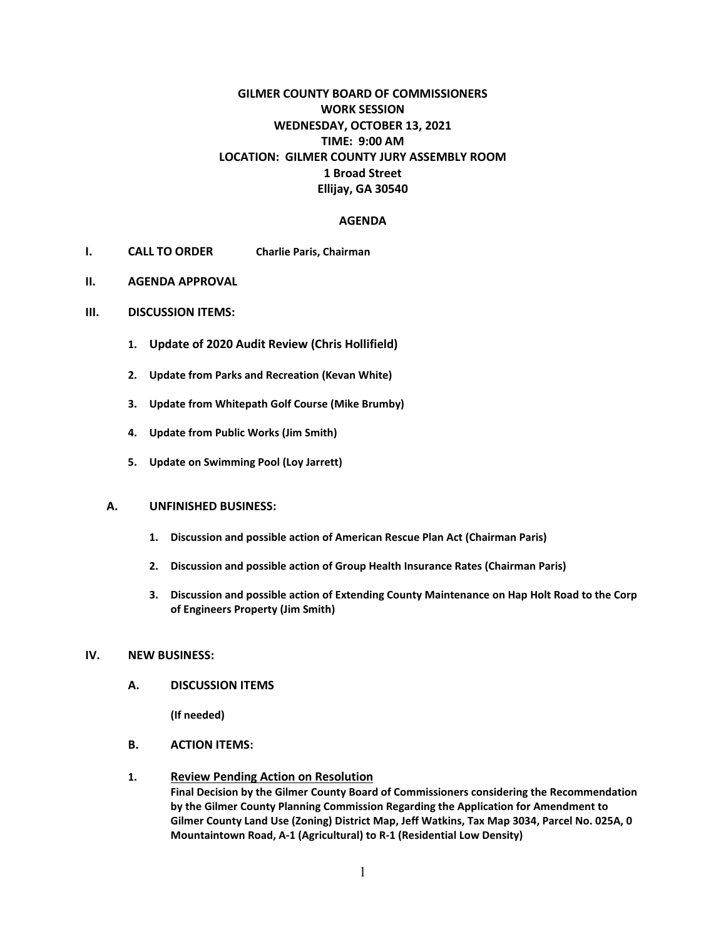# **GILMER COUNTY BOARD OF COMMISSIONERS WORK SESSION WEDNESDAY, OCTOBER 13, 2021 TIME: 9:00 AM LOCATION: GILMER COUNTY JURY ASSEMBLY ROOM 1 Broad Street Ellijay, GA 30540**

### **AGENDA**

- **I. CALL TO ORDER Charlie Paris, Chairman**
- **II. AGENDA APPROVAL**
- **III. DISCUSSION ITEMS:**
	- **1. Update of 2020 Audit Review (Chris Hollifield)**
	- **2. Update from Parks and Recreation (Kevan White)**
	- **3. Update from Whitepath Golf Course (Mike Brumby)**
	- **4. Update from Public Works (Jim Smith)**
	- **5. Update on Swimming Pool (Loy Jarrett)**

#### **A. UNFINISHED BUSINESS:**

- **1. Discussion and possible action of American Rescue Plan Act (Chairman Paris)**
- **2. Discussion and possible action of Group Health Insurance Rates (Chairman Paris)**
- **3. Discussion and possible action of Extending County Maintenance on Hap Holt Road to the Corp of Engineers Property (Jim Smith)**

#### **IV. NEW BUSINESS:**

**A. DISCUSSION ITEMS**

**(If needed)**

**B. ACTION ITEMS:**

### **1. Review Pending Action on Resolution**

**Final Decision by the Gilmer County Board of Commissioners considering the Recommendation by the Gilmer County Planning Commission Regarding the Application for Amendment to Gilmer County Land Use (Zoning) District Map, Jeff Watkins, Tax Map 3034, Parcel No. 025A, 0 Mountaintown Road, A-1 (Agricultural) to R-1 (Residential Low Density)**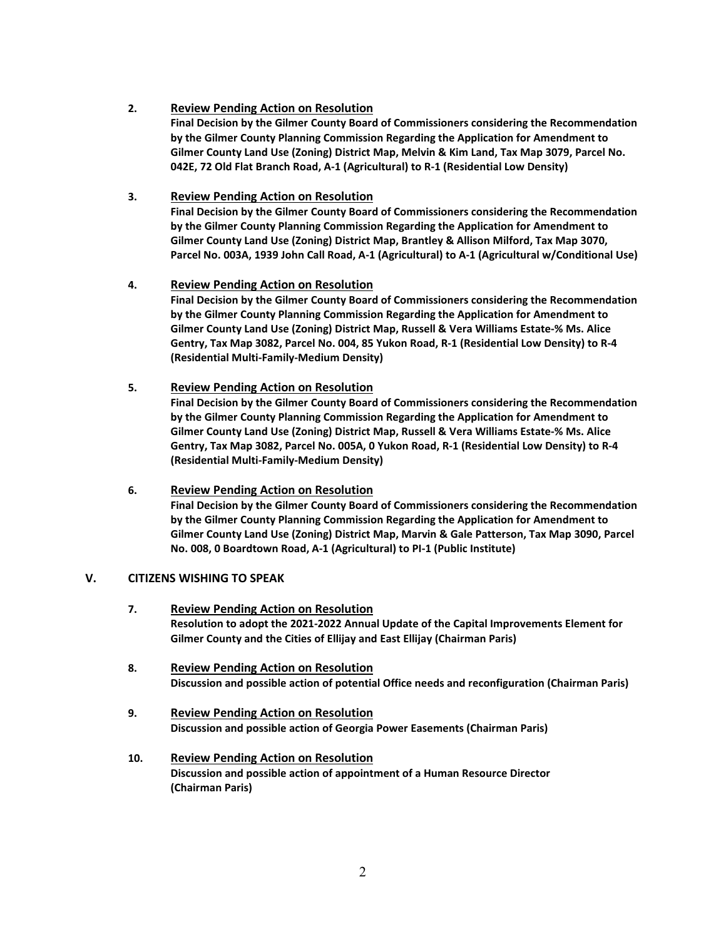## **2. Review Pending Action on Resolution**

**Final Decision by the Gilmer County Board of Commissioners considering the Recommendation by the Gilmer County Planning Commission Regarding the Application for Amendment to Gilmer County Land Use (Zoning) District Map, Melvin & Kim Land, Tax Map 3079, Parcel No. 042E, 72 Old Flat Branch Road, A-1 (Agricultural) to R-1 (Residential Low Density)**

## **3. Review Pending Action on Resolution**

**Final Decision by the Gilmer County Board of Commissioners considering the Recommendation by the Gilmer County Planning Commission Regarding the Application for Amendment to Gilmer County Land Use (Zoning) District Map, Brantley & Allison Milford, Tax Map 3070, Parcel No. 003A, 1939 John Call Road, A-1 (Agricultural) to A-1 (Agricultural w/Conditional Use)**

## **4. Review Pending Action on Resolution**

**Final Decision by the Gilmer County Board of Commissioners considering the Recommendation by the Gilmer County Planning Commission Regarding the Application for Amendment to Gilmer County Land Use (Zoning) District Map, Russell & Vera Williams Estate-% Ms. Alice Gentry, Tax Map 3082, Parcel No. 004, 85 Yukon Road, R-1 (Residential Low Density) to R-4 (Residential Multi-Family-Medium Density)**

## **5. Review Pending Action on Resolution**

**Final Decision by the Gilmer County Board of Commissioners considering the Recommendation by the Gilmer County Planning Commission Regarding the Application for Amendment to Gilmer County Land Use (Zoning) District Map, Russell & Vera Williams Estate-% Ms. Alice Gentry, Tax Map 3082, Parcel No. 005A, 0 Yukon Road, R-1 (Residential Low Density) to R-4 (Residential Multi-Family-Medium Density)**

## **6. Review Pending Action on Resolution**

**Final Decision by the Gilmer County Board of Commissioners considering the Recommendation by the Gilmer County Planning Commission Regarding the Application for Amendment to Gilmer County Land Use (Zoning) District Map, Marvin & Gale Patterson, Tax Map 3090, Parcel No. 008, 0 Boardtown Road, A-1 (Agricultural) to PI-1 (Public Institute)**

#### **V. CITIZENS WISHING TO SPEAK**

- **7. Review Pending Action on Resolution Resolution to adopt the 2021-2022 Annual Update of the Capital Improvements Element for Gilmer County and the Cities of Ellijay and East Ellijay (Chairman Paris)**
- **8. Review Pending Action on Resolution Discussion and possible action of potential Office needs and reconfiguration (Chairman Paris)**
- **9. Review Pending Action on Resolution Discussion and possible action of Georgia Power Easements (Chairman Paris)**

### **10. Review Pending Action on Resolution Discussion and possible action of appointment of a Human Resource Director (Chairman Paris)**